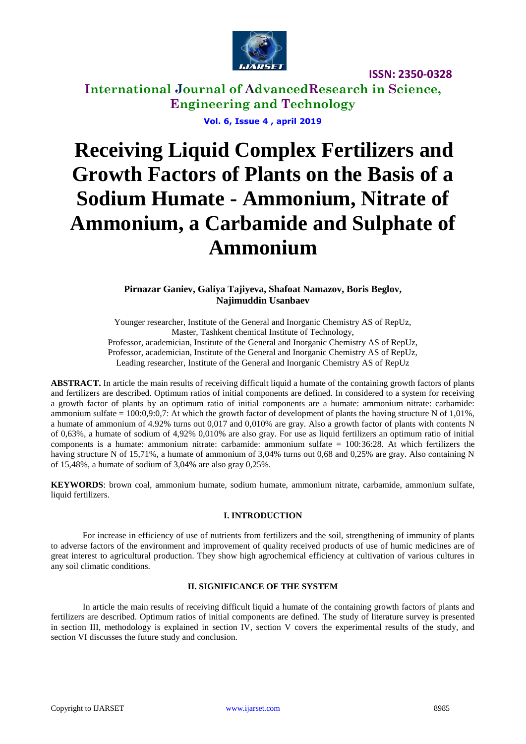

**International Journal of AdvancedResearch in Science, Engineering and Technology Vol. 6, Issue 4 , april 2019**

# **Receiving Liquid Complex Fertilizers and Growth Factors of Plants on the Basis of a Sodium Humate - Ammonium, Nitrate of Ammonium, a Carbamide and Sulphate of Ammonium**

**Pirnazar Ganiev, Galiya Tajiyeva, Shafoat Namazov, Boris Beglov, Najimuddin Usanbaev**

Younger researcher, Institute of the General and Inorganic Chemistry AS of RepUz, Master, Tashkent chemical Institute of Technology, Professor, academician, Institute of the General and Inorganic Chemistry AS of RepUz, Professor, academician, Institute of the General and Inorganic Chemistry AS of RepUz, Leading researcher, Institute of the General and Inorganic Chemistry AS of RepUz

**ABSTRACT.** In article the main results of receiving difficult liquid a humate of the containing growth factors of plants and fertilizers are described. Optimum ratios of initial components are defined. In considered to a system for receiving a growth factor of plants by an optimum ratio of initial components are a humate: ammonium nitrate: carbamide: ammonium sulfate =  $100:0.9:0.7$ : At which the growth factor of development of plants the having structure N of  $1,01\%$ , a humate of ammonium of 4.92% turns out 0,017 and 0,010% are gray. Also a growth factor of plants with contents N of 0,63%, a humate of sodium of 4,92% 0,010% are also gray. For use as liquid fertilizers an optimum ratio of initial components is a humate: ammonium nitrate: carbamide: ammonium sulfate = 100:36:28. At which fertilizers the having structure N of 15,71%, a humate of ammonium of 3,04% turns out 0,68 and 0,25% are gray. Also containing N of 15,48%, a humate of sodium of 3,04% are also gray 0,25%.

**KEYWORDS**: brown coal, ammonium humate, sodium humate, ammonium nitrate, carbamide, ammonium sulfate, liquid fertilizers.

# **I. INTRODUCTION**

For increase in efficiency of use of nutrients from fertilizers and the soil, strengthening of immunity of plants to adverse factors of the environment and improvement of quality received products of use of humic medicines are of great interest to agricultural production. They show high agrochemical efficiency at cultivation of various cultures in any soil climatic conditions.

# **II. SIGNIFICANCE OF THE SYSTEM**

In article the main results of receiving difficult liquid a humate of the containing growth factors of plants and fertilizers are described. Optimum ratios of initial components are defined. The study of literature survey is presented in section III, methodology is explained in section IV, section V covers the experimental results of the study, and section VI discusses the future study and conclusion.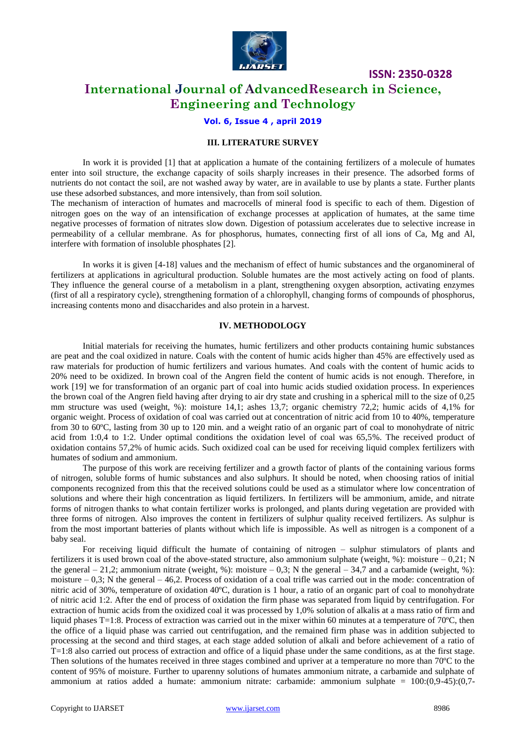

# **International Journal of AdvancedResearch in Science, Engineering and Technology**

# **Vol. 6, Issue 4 , april 2019**

## **III. LITERATURE SURVEY**

In work it is provided [1] that at application a humate of the containing fertilizers of a molecule of humates enter into soil structure, the exchange capacity of soils sharply increases in their presence. The adsorbed forms of nutrients do not contact the soil, are not washed away by water, are in available to use by plants a state. Further plants use these adsorbed substances, and more intensively, than from soil solution.

The mechanism of interaction of humates and macrocells of mineral food is specific to each of them. Digestion of nitrogen goes on the way of an intensification of exchange processes at application of humates, at the same time negative processes of formation of nitrates slow down. Digestion of potassium accelerates due to selective increase in permeability of a cellular membrane. As for phosphorus, humates, connecting first of all ions of Ca, Mg and Al, interfere with formation of insoluble phosphates [2].

In works it is given [4-18] values and the mechanism of effect of humic substances and the organomineral of fertilizers at applications in agricultural production. Soluble humates are the most actively acting on food of plants. They influence the general course of a metabolism in a plant, strengthening oxygen absorption, activating enzymes (first of all a respiratory cycle), strengthening formation of a chlorophyll, changing forms of compounds of phosphorus, increasing contents mono and disaccharides and also protein in a harvest.

#### **IV. METHODOLOGY**

Initial materials for receiving the humates, humic fertilizers and other products containing humic substances are peat and the coal oxidized in nature. Coals with the content of humic acids higher than 45% are effectively used as raw materials for production of humic fertilizers and various humates. And coals with the content of humic acids to 20% need to be oxidized. In brown coal of the Angren field the content of humic acids is not enough. Therefore, in work [19] we for transformation of an organic part of coal into humic acids studied oxidation process. In experiences the brown coal of the Angren field having after drying to air dry state and crushing in a spherical mill to the size of 0,25 mm structure was used (weight, %): moisture 14,1; ashes 13,7; organic chemistry 72,2; humic acids of 4,1% for organic weight. Process of oxidation of coal was carried out at concentration of nitric acid from 10 to 40%, temperature from 30 to 60ºC, lasting from 30 up to 120 min. and a weight ratio of an organic part of coal to monohydrate of nitric acid from 1:0,4 to 1:2. Under optimal conditions the oxidation level of coal was 65,5%. The received product of oxidation contains 57,2% of humic acids. Such oxidized coal can be used for receiving liquid complex fertilizers with humates of sodium and ammonium.

The purpose of this work are receiving fertilizer and a growth factor of plants of the containing various forms of nitrogen, soluble forms of humic substances and also sulphurs. It should be noted, when choosing ratios of initial components recognized from this that the received solutions could be used as a stimulator where low concentration of solutions and where their high concentration as liquid fertilizers. In fertilizers will be ammonium, amide, and nitrate forms of nitrogen thanks to what contain fertilizer works is prolonged, and plants during vegetation are provided with three forms of nitrogen. Also improves the content in fertilizers of sulphur quality received fertilizers. As sulphur is from the most important batteries of plants without which life is impossible. As well as nitrogen is a component of a baby seal.

For receiving liquid difficult the humate of containing of nitrogen – sulphur stimulators of plants and fertilizers it is used brown coal of the above-stated structure, also ammonium sulphate (weight,  $\%$ ): moisture – 0,21; N the general  $-21,2$ ; ammonium nitrate (weight, %): moisture  $-0,3$ ; N the general  $-34,7$  and a carbamide (weight, %): moisture  $-0.3$ ; N the general  $-46.2$ . Process of oxidation of a coal trifle was carried out in the mode: concentration of nitric acid of 30%, temperature of oxidation 40ºC, duration is 1 hour, a ratio of an organic part of coal to monohydrate of nitric acid 1:2. After the end of process of oxidation the firm phase was separated from liquid by centrifugation. For extraction of humic acids from the oxidized coal it was processed by 1,0% solution of alkalis at a mass ratio of firm and liquid phases  $T=1:8$ . Process of extraction was carried out in the mixer within 60 minutes at a temperature of 70 $^{\circ}$ C, then the office of a liquid phase was carried out centrifugation, and the remained firm phase was in addition subjected to processing at the second and third stages, at each stage added solution of alkali and before achievement of a ratio of T=1:8 also carried out process of extraction and office of a liquid phase under the same conditions, as at the first stage. Then solutions of the humates received in three stages combined and upriver at a temperature no more than 70ºC to the content of 95% of moisture. Further to uparenny solutions of humates ammonium nitrate, a carbamide and sulphate of ammonium at ratios added a humate: ammonium nitrate: carbamide: ammonium sulphate = 100:(0,9-45):(0,7-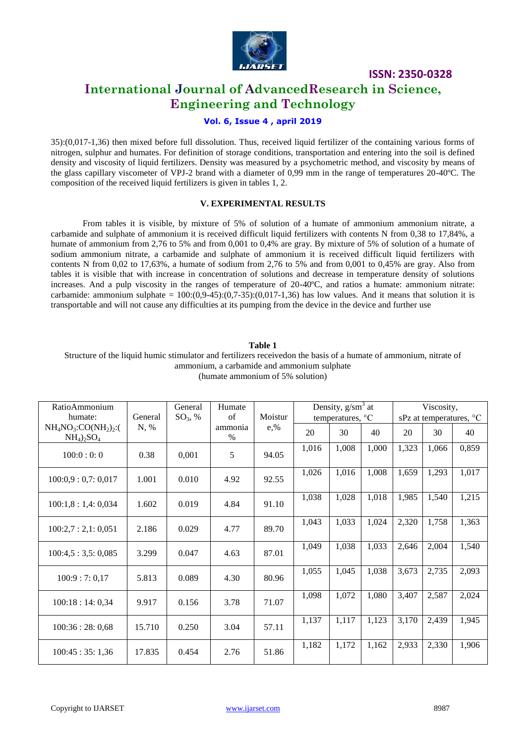

# **International Journal of AdvancedResearch in Science, Engineering and Technology**

# **Vol. 6, Issue 4 , april 2019**

35):(0,017-1,36) then mixed before full dissolution. Thus, received liquid fertilizer of the containing various forms of nitrogen, sulphur and humates. For definition of storage conditions, transportation and entering into the soil is defined density and viscosity of liquid fertilizers. Density was measured by a psychometric method, and viscosity by means of the glass capillary viscometer of VPJ-2 brand with a diameter of 0,99 mm in the range of temperatures 20-40ºC. The composition of the received liquid fertilizers is given in tables 1, 2.

## **V. EXPERIMENTAL RESULTS**

From tables it is visible, by mixture of 5% of solution of a humate of ammonium ammonium nitrate, a carbamide and sulphate of ammonium it is received difficult liquid fertilizers with contents N from 0,38 to 17,84%, a humate of ammonium from 2,76 to 5% and from 0,001 to 0,4% are gray. By mixture of 5% of solution of a humate of sodium ammonium nitrate, a carbamide and sulphate of ammonium it is received difficult liquid fertilizers with contents N from 0,02 to 17,63%, a humate of sodium from 2,76 to 5% and from 0,001 to 0,45% are gray. Also from tables it is visible that with increase in concentration of solutions and decrease in temperature density of solutions increases. And a pulp viscosity in the ranges of temperature of 20-40ºC, and ratios a humate: ammonium nitrate: carbamide: ammonium sulphate =  $100:(0,9-45):(0,7-35):(0,017-1,36)$  has low values. And it means that solution it is transportable and will not cause any difficulties at its pumping from the device in the device and further use

#### **Table 1**

#### Structure of the liquid humic stimulator and fertilizers receivedon the basis of a humate of ammonium, nitrate of ammonium, a carbamide and ammonium sulphate (humate ammonium of 5% solution)

| RatioAmmonium                         |         | General                          | Humate |         | Density, $g/cm3$ at       |       |       | Viscosity,              |       |       |
|---------------------------------------|---------|----------------------------------|--------|---------|---------------------------|-------|-------|-------------------------|-------|-------|
| humate:                               | General | $SO_3$ , %                       | of     | Moistur | temperatures, $^{\circ}C$ |       |       | sPz at temperatures, °C |       |       |
| $NH4NO3:CO(NH2)2:$ (<br>$NH_4)_2SO_4$ | N, %    | e, %<br>ammonia<br>$\frac{0}{0}$ | 20     | 30      | 40                        | 20    | 30    | 40                      |       |       |
| 100:0:0:0                             | 0.38    | 0,001                            | 5      | 94.05   | 1,016                     | 1,008 | 1,000 | 1,323                   | 1,066 | 0,859 |
| 100:0,9:0,7:0,017                     | 1.001   | 0.010                            | 4.92   | 92.55   | 1,026                     | 1,016 | 1,008 | 1,659                   | 1,293 | 1,017 |
| 100:1,8:1,4:0,034                     | 1.602   | 0.019                            | 4.84   | 91.10   | 1,038                     | 1,028 | 1,018 | 1,985                   | 1,540 | 1,215 |
| 100:2,7:2,1:0,051                     | 2.186   | 0.029                            | 4.77   | 89.70   | 1,043                     | 1,033 | 1,024 | 2,320                   | 1,758 | 1,363 |
| 100:4,5:3,5:0,085                     | 3.299   | 0.047                            | 4.63   | 87.01   | 1,049                     | 1,038 | 1,033 | 2,646                   | 2,004 | 1,540 |
| 100:9:7:0,17                          | 5.813   | 0.089                            | 4.30   | 80.96   | 1,055                     | 1,045 | 1,038 | 3,673                   | 2,735 | 2,093 |
| 100:18:14:0,34                        | 9.917   | 0.156                            | 3.78   | 71.07   | 1,098                     | 1,072 | 1,080 | 3,407                   | 2,587 | 2,024 |
| 100:36:28:0,68                        | 15.710  | 0.250                            | 3.04   | 57.11   | 1,137                     | 1,117 | 1,123 | 3,170                   | 2,439 | 1,945 |
| 100:45:35:1,36                        | 17.835  | 0.454                            | 2.76   | 51.86   | 1,182                     | 1,172 | 1,162 | 2,933                   | 2,330 | 1,906 |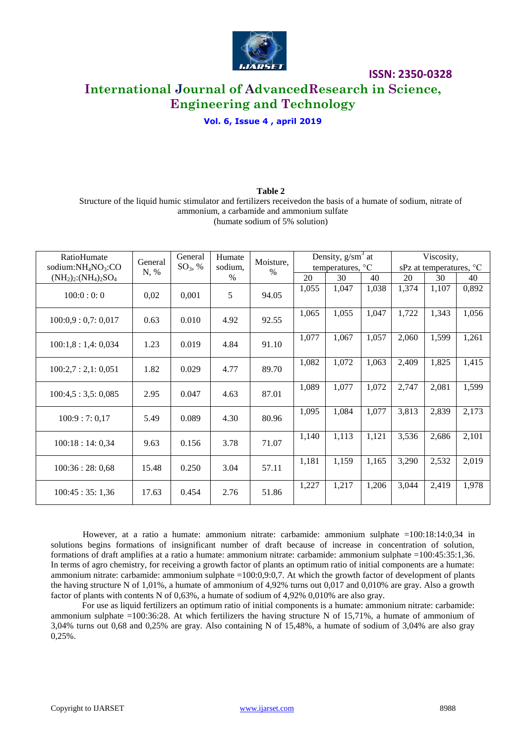

# **International Journal of AdvancedResearch in Science, Engineering and Technology**

# **Vol. 6, Issue 4 , april 2019**

## **Table 2** Structure of the liquid humic stimulator and fertilizers receivedon the basis of a humate of sodium, nitrate of ammonium, a carbamide and ammonium sulfate (humate sodium of 5% solution)

| RatioHumate                 | General<br>N, % | General<br>$SO_3$ , % | Humate<br>sodium,<br>$\%$ | Moisture,<br>$\%$ | Density, $g/sm^3$ at               |       |       | Viscosity,              |       |       |
|-----------------------------|-----------------|-----------------------|---------------------------|-------------------|------------------------------------|-------|-------|-------------------------|-------|-------|
| sodium: $NH_4NO_3$ :CO      |                 |                       |                           |                   | temperatures, $\mathrm{^{\circ}C}$ |       |       | sPz at temperatures, °C |       |       |
| $(NH_2)_2$ : $(NH_4)_2SO_4$ |                 |                       |                           |                   | 20                                 | 30    | 40    | 20                      | 30    | 40    |
| 100:0:0:0                   | 0,02            | 0,001                 | 5                         | 94.05             | 1,055                              | 1,047 | 1,038 | 1,374                   | 1,107 | 0,892 |
| 100:0,9:0,7:0,017           | 0.63            | 0.010                 | 4.92                      | 92.55             | 1,065                              | 1,055 | 1,047 | 1,722                   | 1,343 | 1,056 |
| 100:1,8:1,4:0,034           | 1.23            | 0.019                 | 4.84                      | 91.10             | 1,077                              | 1,067 | 1,057 | 2,060                   | 1,599 | 1,261 |
| 100:2,7:2,1:0,051           | 1.82            | 0.029                 | 4.77                      | 89.70             | 1,082                              | 1,072 | 1,063 | 2,409                   | 1,825 | 1,415 |
| 100:4,5:3,5:0,085           | 2.95            | 0.047                 | 4.63                      | 87.01             | 1,089                              | 1,077 | 1,072 | 2,747                   | 2,081 | 1,599 |
| 100:9:7:0,17                | 5.49            | 0.089                 | 4.30                      | 80.96             | 1,095                              | 1,084 | 1,077 | 3,813                   | 2,839 | 2,173 |
| 100:18:14:0,34              | 9.63            | 0.156                 | 3.78                      | 71.07             | 1,140                              | 1,113 | 1,121 | 3,536                   | 2,686 | 2,101 |
| 100:36:28:0,68              | 15.48           | 0.250                 | 3.04                      | 57.11             | 1,181                              | 1,159 | 1,165 | 3,290                   | 2,532 | 2,019 |
| 100:45:35:1,36              | 17.63           | 0.454                 | 2.76                      | 51.86             | 1,227                              | 1,217 | 1,206 | 3,044                   | 2,419 | 1,978 |

However, at a ratio a humate: ammonium nitrate: carbamide: ammonium sulphate =100:18:14:0,34 in solutions begins formations of insignificant number of draft because of increase in concentration of solution, formations of draft amplifies at a ratio a humate: ammonium nitrate: carbamide: ammonium sulphate =100:45:35:1,36. In terms of agro chemistry, for receiving a growth factor of plants an optimum ratio of initial components are a humate: ammonium nitrate: carbamide: ammonium sulphate =100:0,9:0,7. At which the growth factor of development of plants the having structure N of 1,01%, a humate of ammonium of 4,92% turns out 0,017 and 0,010% are gray. Also a growth factor of plants with contents N of 0,63%, a humate of sodium of 4,92% 0,010% are also gray.

For use as liquid fertilizers an optimum ratio of initial components is a humate: ammonium nitrate: carbamide: ammonium sulphate  $=100:36:28$ . At which fertilizers the having structure N of 15,71%, a humate of ammonium of 3,04% turns out 0,68 and 0,25% are gray. Also containing N of 15,48%, a humate of sodium of 3,04% are also gray  $0,25%$ .